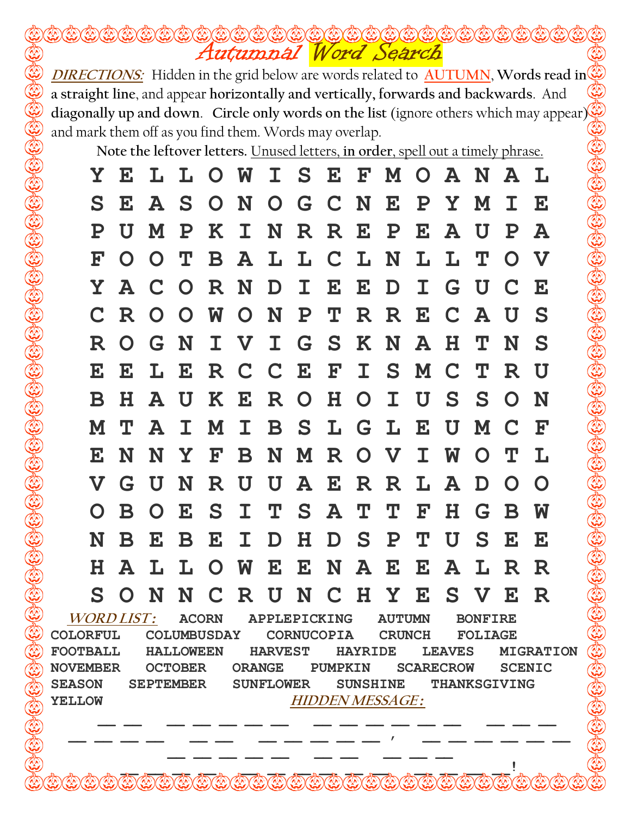Autumnal Word Search

Note the leftover letters. Unused letters, in order, spell out a timely phrase.

|                   | Y E                                 | L L O W     |              |              |                |              |                 |                 |              | I S E F M O A N A |              |           |              |              | L                     |
|-------------------|-------------------------------------|-------------|--------------|--------------|----------------|--------------|-----------------|-----------------|--------------|-------------------|--------------|-----------|--------------|--------------|-----------------------|
| S                 | $\mathbf{E}$                        | A           | S            | $\mathbf{O}$ | N              |              |                 | O G C N         |              | $\mathbf{E}$      | ${\bf P}$    | Y.        | M            | T.           | $\bf E$               |
| ${\bf P}$         | U                                   | M           | ${\bf P}$    | K            | $\mathbf{T}$   | N            | $\mathbf{R}$    | $\mathbf{R}$    | $\mathbf{E}$ | ${\bf P}$         | $\mathbf{E}$ | ${\bf A}$ | U            | ${\bf P}$    | A                     |
| ${\bf F}$         | $\mathbf O$                         | $\mathbf O$ | Т            | B            | A              | L.           |                 | LCLN            |              |                   | L            | L         | Т            | $\Omega$     | $\boldsymbol{\nabla}$ |
| Y                 | A                                   | C O         |              | $\mathbf R$  | N              | D            | $\mathbf{T}$    | $\mathbf{E}$    | $\mathbf{E}$ | D                 | $\mathbf I$  | G         | U            | C            | $\bf E$               |
|                   | <b>R</b>                            | $\Omega$    | $\Omega$     | W            | $\mathbf{O}$   | N            | $\mathbf{P}$    | T.              |              | R R E             |              |           | $C$ $A$      | U            | S                     |
| ${\bf R}$         | $\Omega$                            | G.          | N            | $\mathbf I$  | <b>V</b>       | $\mathbf I$  |                 | G S             | $\mathbf{K}$ | N                 | A            | $\bf H$   | Т            | N            | S                     |
| E                 | $\mathbf{E}$                        | L           | $\mathbf{E}$ | R            | C C            |              | $\mathbf{E}$    | ${\bf F}$       | $\mathbf I$  |                   | S M          | C         | Т            | R            | U                     |
| $\bf B$           | H.                                  | A           | U            |              | K E            | R O          |                 | $H_{\parallel}$ | $\mathbf{O}$ | $\mathbf I$       | U            | S         | S            | $\mathbf O$  | N                     |
| M                 | Т                                   | A           | $\mathbf{T}$ | M            | $\mathbf{I}^-$ | $\mathbf{B}$ |                 | S L G L         |              |                   | $\mathbf{E}$ | U         | M            | $\mathbf C$  | <b>F</b>              |
| $\mathbf{E}$      | N                                   | N           | Y            | ${\bf F}$    | $\mathbf B$    | N            |                 | M R             |              | O V               | $\mathbf I$  | <b>M</b>  | $\mathbf{O}$ | $\mathbf T$  | $\mathbf{L}$          |
| $\mathbf{V}$      | G                                   | U           | N            | $\mathbf R$  | U              | U            | ${\bf A}$       | $\mathbf{E}$    | $\mathbf R$  | R                 | L            | ${\bf A}$ | $\bf{D}$     | $\Omega$     | $\Omega$              |
| $\Omega$          | $\mathbf B$                         | $\Omega$    | $\mathbf{E}$ | S            | $\mathbf I$    | $\mathbf T$  |                 | S A             | $\mathbf T$  | $\bf T$           | ${\bf F}$    | $\bf H$   | G            | B            | W                     |
| N                 | B                                   | ${\bf E}$   | $\bf{B}$     | $\mathbf{E}$ | $\mathbf I$    | D            | $H_{\parallel}$ | D               | S            | $\mathbf P$       | Т            | U         | S.           | $\mathbf{E}$ | $\bf E$               |
| H                 | A                                   | L           | L            | $\Omega$     | <b>W</b>       | $\mathbf{E}$ |                 | E N             | ${\bf A}$    | $\mathbf{E}$      | $\mathbf{E}$ | ${\bf A}$ | L            | R            | R                     |
| S                 | $\Omega$                            | N           | N            | C            | R              | $\mathbf{I}$ | N               | $\mathbf C$     | $\mathbf{H}$ | Y                 | ${\bf E}$    | S         | $\mathbf{V}$ | $\mathbf{E}$ | R                     |
| <b>WORD LIST:</b> | <b>ACORN</b><br><b>APPLEPICKING</b> |             |              |              |                |              |                 | <b>AUTUMN</b>   |              | <b>BONFIRE</b>    |              |           |              |              |                       |

COLORFUL COLUMBUSDAY CORNUCOPIA CRUNCH FOLIAGE FOOTBALL HALLOWEEN HARVEST HAYRIDE LEAVES MIGRATION NOVEMBER OCTOBER ORANGE PUMPKIN SCARECROW SCENIC SEASON SEPTEMBER SUNFLOWER SUNSHINE THANKSGIVING YELLOW HIDDEN MESSAGE:

 $\,\,\overline{\phantom{a}}\,$   $\,\,\overline{\phantom{a}}\,$   $\,\,\overline{\phantom{a}}\,$   $\,\,\overline{\phantom{a}}\,$   $\,\,\overline{\phantom{a}}\,$   $\,\,\overline{\phantom{a}}\,$   $\,\,\overline{\phantom{a}}\,$   $\,\,\overline{\phantom{a}}\,$   $\,\,\overline{\phantom{a}}\,$   $\,\,\overline{\phantom{a}}\,$   $\,\,\overline{\phantom{a}}\,$   $\,\,\overline{\phantom{a}}\,$   $\,\,\overline{\phantom{a}}\,$   $\,\,\overline{\phantom{a}}\$  $\frac{1}{2}$  ,  $\frac{1}{2}$  ,  $\frac{1}{2}$  ,  $\frac{1}{2}$  ,  $\frac{1}{2}$  ,  $\frac{1}{2}$  ,  $\frac{1}{2}$  ,  $\frac{1}{2}$  ,  $\frac{1}{2}$  ,  $\frac{1}{2}$  ,  $\frac{1}{2}$  ,  $\frac{1}{2}$  ,  $\frac{1}{2}$ \_\_ \_\_ \_\_ \_\_ \_\_ \_\_ \_\_ \_\_ \_\_ \_\_  $\frac{1}{2}$